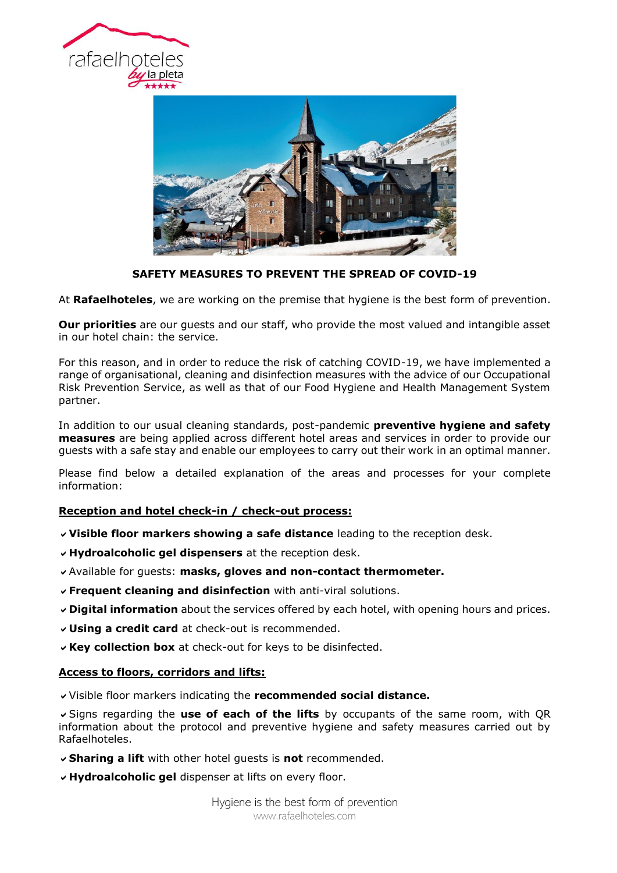



# **SAFETY MEASURES TO PREVENT THE SPREAD OF COVID-19**

At **Rafaelhoteles**, we are working on the premise that hygiene is the best form of prevention.

**Our priorities** are our guests and our staff, who provide the most valued and intangible asset in our hotel chain: the service.

For this reason, and in order to reduce the risk of catching COVID-19, we have implemented a range of organisational, cleaning and disinfection measures with the advice of our Occupational Risk Prevention Service, as well as that of our Food Hygiene and Health Management System partner.

In addition to our usual cleaning standards, post-pandemic **preventive hygiene and safety measures** are being applied across different hotel areas and services in order to provide our guests with a safe stay and enable our employees to carry out their work in an optimal manner.

Please find below a detailed explanation of the areas and processes for your complete information:

## **Reception and hotel check-in / check-out process:**

- **Visible floor markers showing a safe distance** leading to the reception desk.
- **Hydroalcoholic gel dispensers** at the reception desk.
- Available for guests: **masks, gloves and non-contact thermometer.**
- **Frequent cleaning and disinfection** with anti-viral solutions.
- **Digital information** about the services offered by each hotel, with opening hours and prices.
- **Using a credit card** at check-out is recommended.
- **Key collection box** at check-out for keys to be disinfected.

### **Access to floors, corridors and lifts:**

Visible floor markers indicating the **recommended social distance.**

Signs regarding the **use of each of the lifts** by occupants of the same room, with QR information about the protocol and preventive hygiene and safety measures carried out by Rafaelhoteles.

- **Sharing a lift** with other hotel guests is **not** recommended.
- **Hydroalcoholic gel** dispenser at lifts on every floor.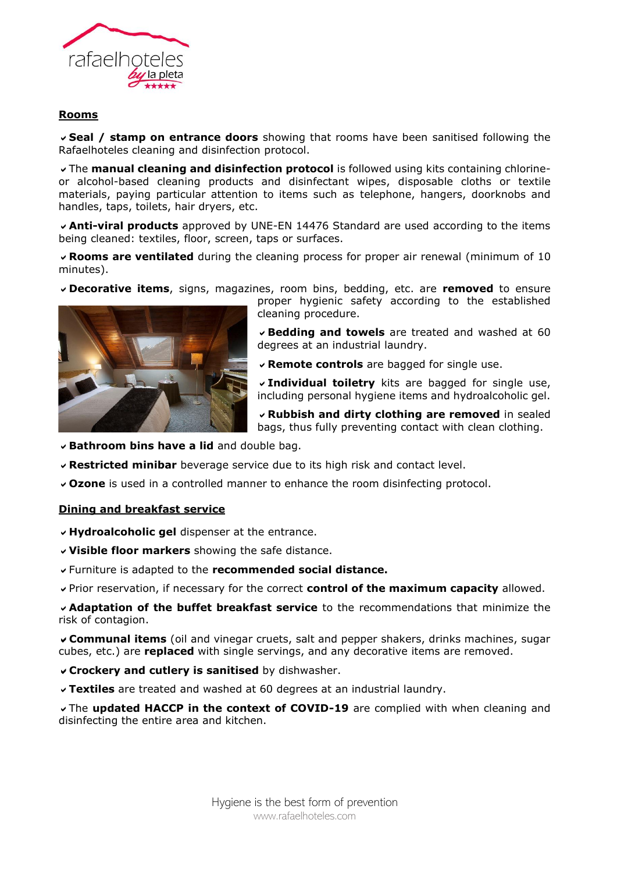

## **Rooms**

**Seal / stamp on entrance doors** showing that rooms have been sanitised following the Rafaelhoteles cleaning and disinfection protocol.

The **manual cleaning and disinfection protocol** is followed using kits containing chlorineor alcohol-based cleaning products and disinfectant wipes, disposable cloths or textile materials, paying particular attention to items such as telephone, hangers, doorknobs and handles, taps, toilets, hair dryers, etc.

**Anti-viral products** approved by UNE-EN 14476 Standard are used according to the items being cleaned: textiles, floor, screen, taps or surfaces.

**Rooms are ventilated** during the cleaning process for proper air renewal (minimum of 10 minutes).

**Decorative items**, signs, magazines, room bins, bedding, etc. are **removed** to ensure



proper hygienic safety according to the established cleaning procedure.

**Bedding and towels** are treated and washed at 60 degrees at an industrial laundry.

**Remote controls** are bagged for single use.

**Individual toiletry** kits are bagged for single use, including personal hygiene items and hydroalcoholic gel.

**Rubbish and dirty clothing are removed** in sealed bags, thus fully preventing contact with clean clothing.

- **Bathroom bins have a lid** and double bag.
- **Restricted minibar** beverage service due to its high risk and contact level.
- **Ozone** is used in a controlled manner to enhance the room disinfecting protocol.

#### **Dining and breakfast service**

**Hydroalcoholic gel** dispenser at the entrance.

- **Visible floor markers** showing the safe distance.
- Furniture is adapted to the **recommended social distance.**
- Prior reservation, if necessary for the correct **control of the maximum capacity** allowed.

**Adaptation of the buffet breakfast service** to the recommendations that minimize the risk of contagion.

**Communal items** (oil and vinegar cruets, salt and pepper shakers, drinks machines, sugar cubes, etc.) are **replaced** with single servings, and any decorative items are removed.

- **Crockery and cutlery is sanitised** by dishwasher.
- **Textiles** are treated and washed at 60 degrees at an industrial laundry.

The **updated HACCP in the context of COVID-19** are complied with when cleaning and disinfecting the entire area and kitchen.